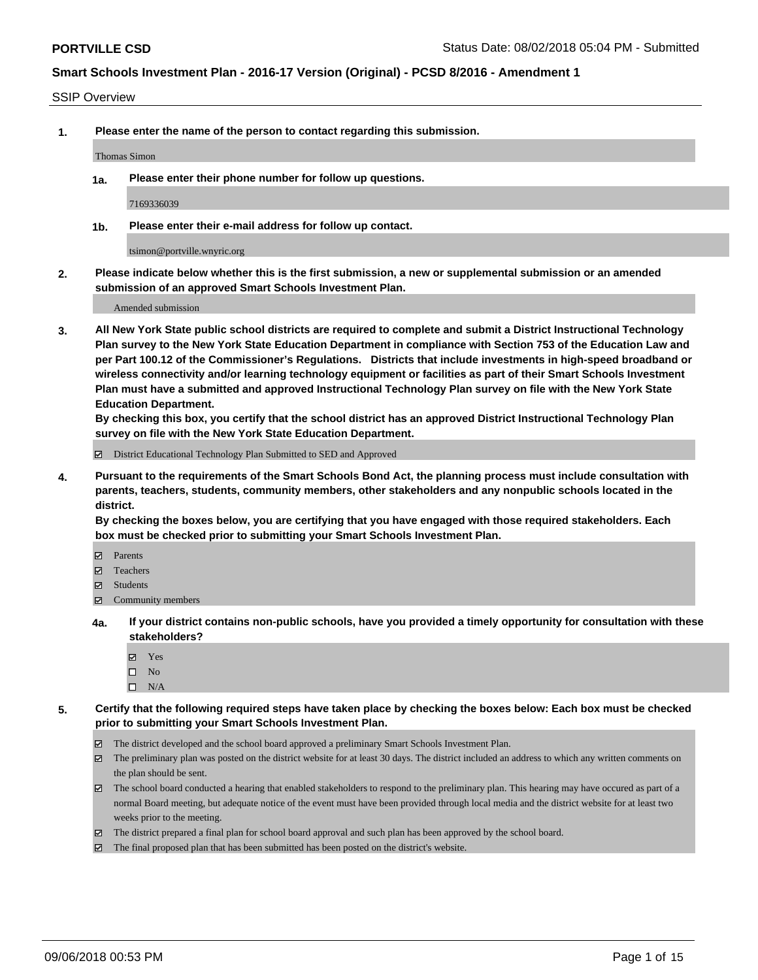#### SSIP Overview

**1. Please enter the name of the person to contact regarding this submission.**

#### Thomas Simon

**1a. Please enter their phone number for follow up questions.**

7169336039

**1b. Please enter their e-mail address for follow up contact.**

tsimon@portville.wnyric.org

**2. Please indicate below whether this is the first submission, a new or supplemental submission or an amended submission of an approved Smart Schools Investment Plan.**

Amended submission

**3. All New York State public school districts are required to complete and submit a District Instructional Technology Plan survey to the New York State Education Department in compliance with Section 753 of the Education Law and per Part 100.12 of the Commissioner's Regulations. Districts that include investments in high-speed broadband or wireless connectivity and/or learning technology equipment or facilities as part of their Smart Schools Investment Plan must have a submitted and approved Instructional Technology Plan survey on file with the New York State Education Department.** 

**By checking this box, you certify that the school district has an approved District Instructional Technology Plan survey on file with the New York State Education Department.**

District Educational Technology Plan Submitted to SED and Approved

**4. Pursuant to the requirements of the Smart Schools Bond Act, the planning process must include consultation with parents, teachers, students, community members, other stakeholders and any nonpublic schools located in the district.** 

**By checking the boxes below, you are certifying that you have engaged with those required stakeholders. Each box must be checked prior to submitting your Smart Schools Investment Plan.**

- **Parents**
- Teachers
- **☑** Students
- **☑** Community members
- **4a. If your district contains non-public schools, have you provided a timely opportunity for consultation with these stakeholders?**
	- **Ø** Yes
	- $\square$  No
	- $\square$  N/A
- **5. Certify that the following required steps have taken place by checking the boxes below: Each box must be checked prior to submitting your Smart Schools Investment Plan.**
	- The district developed and the school board approved a preliminary Smart Schools Investment Plan.
	- $\boxtimes$  The preliminary plan was posted on the district website for at least 30 days. The district included an address to which any written comments on the plan should be sent.
	- The school board conducted a hearing that enabled stakeholders to respond to the preliminary plan. This hearing may have occured as part of a normal Board meeting, but adequate notice of the event must have been provided through local media and the district website for at least two weeks prior to the meeting.
	- The district prepared a final plan for school board approval and such plan has been approved by the school board.
	- The final proposed plan that has been submitted has been posted on the district's website.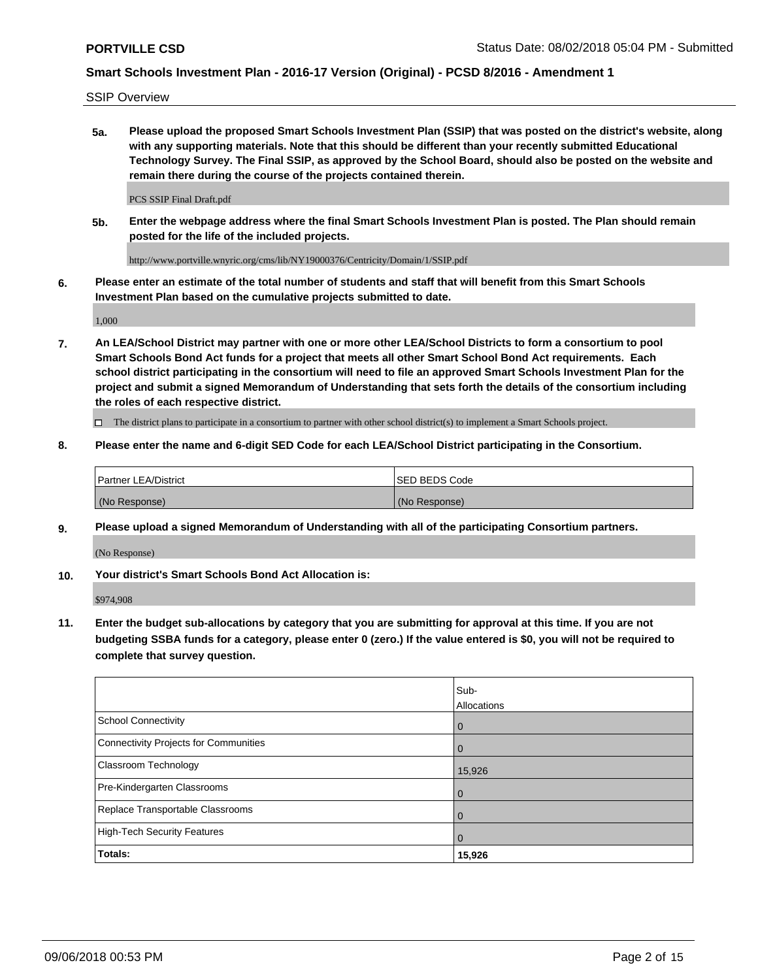SSIP Overview

**5a. Please upload the proposed Smart Schools Investment Plan (SSIP) that was posted on the district's website, along with any supporting materials. Note that this should be different than your recently submitted Educational Technology Survey. The Final SSIP, as approved by the School Board, should also be posted on the website and remain there during the course of the projects contained therein.**

PCS SSIP Final Draft.pdf

**5b. Enter the webpage address where the final Smart Schools Investment Plan is posted. The Plan should remain posted for the life of the included projects.**

http://www.portville.wnyric.org/cms/lib/NY19000376/Centricity/Domain/1/SSIP.pdf

**6. Please enter an estimate of the total number of students and staff that will benefit from this Smart Schools Investment Plan based on the cumulative projects submitted to date.**

1,000

**7. An LEA/School District may partner with one or more other LEA/School Districts to form a consortium to pool Smart Schools Bond Act funds for a project that meets all other Smart School Bond Act requirements. Each school district participating in the consortium will need to file an approved Smart Schools Investment Plan for the project and submit a signed Memorandum of Understanding that sets forth the details of the consortium including the roles of each respective district.**

 $\Box$  The district plans to participate in a consortium to partner with other school district(s) to implement a Smart Schools project.

### **8. Please enter the name and 6-digit SED Code for each LEA/School District participating in the Consortium.**

| <b>Partner LEA/District</b> | <b>ISED BEDS Code</b> |
|-----------------------------|-----------------------|
| (No Response)               | (No Response)         |

### **9. Please upload a signed Memorandum of Understanding with all of the participating Consortium partners.**

(No Response)

**10. Your district's Smart Schools Bond Act Allocation is:**

\$974,908

**11. Enter the budget sub-allocations by category that you are submitting for approval at this time. If you are not budgeting SSBA funds for a category, please enter 0 (zero.) If the value entered is \$0, you will not be required to complete that survey question.**

|                                       | Sub-<br>Allocations |
|---------------------------------------|---------------------|
| <b>School Connectivity</b>            | $\mathbf 0$         |
| Connectivity Projects for Communities | $\Omega$            |
| <b>Classroom Technology</b>           | 15,926              |
| Pre-Kindergarten Classrooms           | $\mathbf 0$         |
| Replace Transportable Classrooms      | $\Omega$            |
| High-Tech Security Features           | $\overline{0}$      |
| Totals:                               | 15,926              |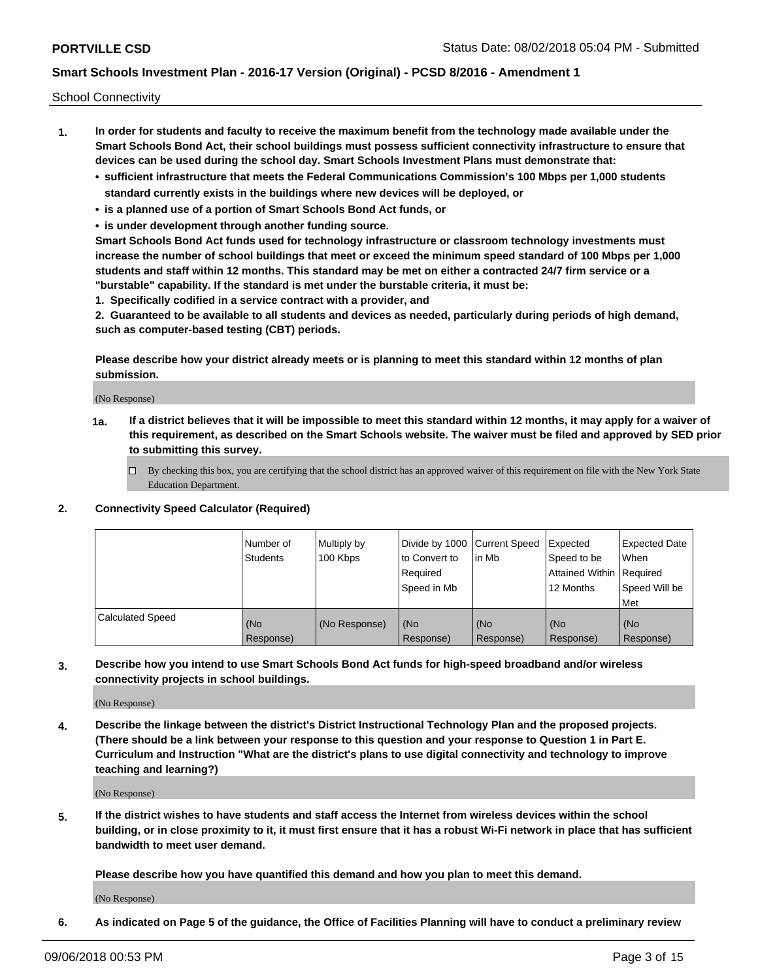School Connectivity

- **1. In order for students and faculty to receive the maximum benefit from the technology made available under the Smart Schools Bond Act, their school buildings must possess sufficient connectivity infrastructure to ensure that devices can be used during the school day. Smart Schools Investment Plans must demonstrate that:**
	- **• sufficient infrastructure that meets the Federal Communications Commission's 100 Mbps per 1,000 students standard currently exists in the buildings where new devices will be deployed, or**
	- **• is a planned use of a portion of Smart Schools Bond Act funds, or**
	- **• is under development through another funding source.**

**Smart Schools Bond Act funds used for technology infrastructure or classroom technology investments must increase the number of school buildings that meet or exceed the minimum speed standard of 100 Mbps per 1,000 students and staff within 12 months. This standard may be met on either a contracted 24/7 firm service or a "burstable" capability. If the standard is met under the burstable criteria, it must be:**

**1. Specifically codified in a service contract with a provider, and**

**2. Guaranteed to be available to all students and devices as needed, particularly during periods of high demand, such as computer-based testing (CBT) periods.**

**Please describe how your district already meets or is planning to meet this standard within 12 months of plan submission.**

(No Response)

**1a. If a district believes that it will be impossible to meet this standard within 12 months, it may apply for a waiver of this requirement, as described on the Smart Schools website. The waiver must be filed and approved by SED prior to submitting this survey.**

 $\Box$  By checking this box, you are certifying that the school district has an approved waiver of this requirement on file with the New York State Education Department.

#### **2. Connectivity Speed Calculator (Required)**

|                         | l Number of<br>Students | Multiply by<br>100 Kbps | Divide by 1000 Current Speed<br>to Convert to<br>Required<br>l Speed in Mb | lin Mb           | Expected<br>Speed to be<br>Attained Within   Required<br>12 Months | <b>Expected Date</b><br>When<br>Speed Will be<br>Met |
|-------------------------|-------------------------|-------------------------|----------------------------------------------------------------------------|------------------|--------------------------------------------------------------------|------------------------------------------------------|
| <b>Calculated Speed</b> | (No<br>Response)        | (No Response)           | (No<br>Response)                                                           | (No<br>Response) | (No<br>Response)                                                   | (No<br>Response)                                     |

**3. Describe how you intend to use Smart Schools Bond Act funds for high-speed broadband and/or wireless connectivity projects in school buildings.**

(No Response)

**4. Describe the linkage between the district's District Instructional Technology Plan and the proposed projects. (There should be a link between your response to this question and your response to Question 1 in Part E. Curriculum and Instruction "What are the district's plans to use digital connectivity and technology to improve teaching and learning?)**

(No Response)

**5. If the district wishes to have students and staff access the Internet from wireless devices within the school building, or in close proximity to it, it must first ensure that it has a robust Wi-Fi network in place that has sufficient bandwidth to meet user demand.**

**Please describe how you have quantified this demand and how you plan to meet this demand.**

(No Response)

**6. As indicated on Page 5 of the guidance, the Office of Facilities Planning will have to conduct a preliminary review**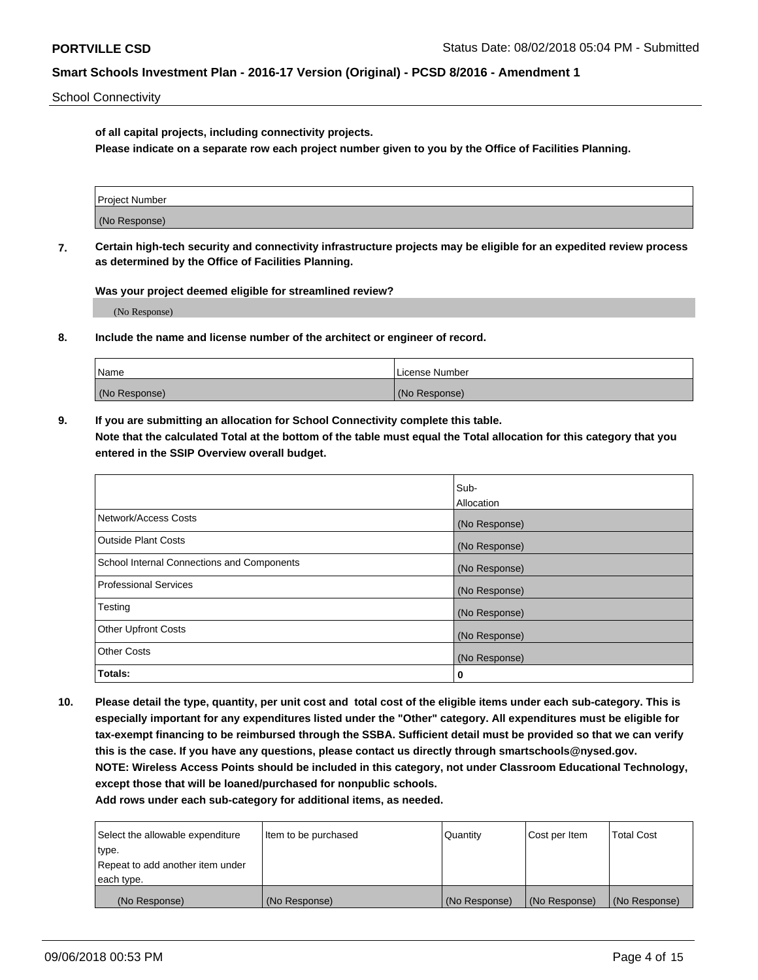School Connectivity

**of all capital projects, including connectivity projects.**

**Please indicate on a separate row each project number given to you by the Office of Facilities Planning.**

| Project Number |  |
|----------------|--|
|                |  |
| (No Response)  |  |
|                |  |

**7. Certain high-tech security and connectivity infrastructure projects may be eligible for an expedited review process as determined by the Office of Facilities Planning.**

**Was your project deemed eligible for streamlined review?**

(No Response)

**8. Include the name and license number of the architect or engineer of record.**

| Name          | License Number |
|---------------|----------------|
| (No Response) | (No Response)  |

**9. If you are submitting an allocation for School Connectivity complete this table. Note that the calculated Total at the bottom of the table must equal the Total allocation for this category that you entered in the SSIP Overview overall budget.** 

|                                            | Sub-              |
|--------------------------------------------|-------------------|
|                                            | <b>Allocation</b> |
| Network/Access Costs                       | (No Response)     |
| <b>Outside Plant Costs</b>                 | (No Response)     |
| School Internal Connections and Components | (No Response)     |
| <b>Professional Services</b>               | (No Response)     |
| Testing                                    | (No Response)     |
| <b>Other Upfront Costs</b>                 | (No Response)     |
| <b>Other Costs</b>                         | (No Response)     |
| Totals:                                    | 0                 |

**10. Please detail the type, quantity, per unit cost and total cost of the eligible items under each sub-category. This is especially important for any expenditures listed under the "Other" category. All expenditures must be eligible for tax-exempt financing to be reimbursed through the SSBA. Sufficient detail must be provided so that we can verify this is the case. If you have any questions, please contact us directly through smartschools@nysed.gov. NOTE: Wireless Access Points should be included in this category, not under Classroom Educational Technology, except those that will be loaned/purchased for nonpublic schools.**

| Select the allowable expenditure | Item to be purchased | Quantity      | Cost per Item | <b>Total Cost</b> |
|----------------------------------|----------------------|---------------|---------------|-------------------|
| type.                            |                      |               |               |                   |
| Repeat to add another item under |                      |               |               |                   |
| each type.                       |                      |               |               |                   |
| (No Response)                    | (No Response)        | (No Response) | (No Response) | (No Response)     |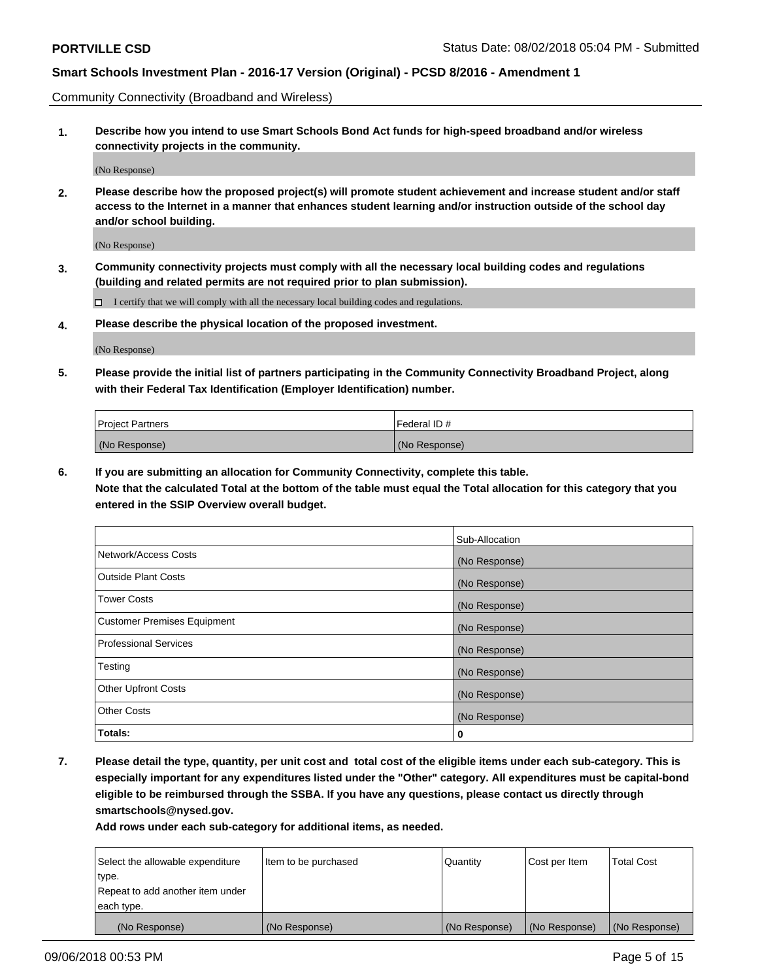Community Connectivity (Broadband and Wireless)

**1. Describe how you intend to use Smart Schools Bond Act funds for high-speed broadband and/or wireless connectivity projects in the community.**

(No Response)

**2. Please describe how the proposed project(s) will promote student achievement and increase student and/or staff access to the Internet in a manner that enhances student learning and/or instruction outside of the school day and/or school building.**

(No Response)

**3. Community connectivity projects must comply with all the necessary local building codes and regulations (building and related permits are not required prior to plan submission).**

 $\Box$  I certify that we will comply with all the necessary local building codes and regulations.

**4. Please describe the physical location of the proposed investment.**

(No Response)

**5. Please provide the initial list of partners participating in the Community Connectivity Broadband Project, along with their Federal Tax Identification (Employer Identification) number.**

| <b>Project Partners</b> | l Federal ID # |
|-------------------------|----------------|
| (No Response)           | (No Response)  |

**6. If you are submitting an allocation for Community Connectivity, complete this table.**

**Note that the calculated Total at the bottom of the table must equal the Total allocation for this category that you entered in the SSIP Overview overall budget.**

|                                    | Sub-Allocation |
|------------------------------------|----------------|
| Network/Access Costs               | (No Response)  |
| <b>Outside Plant Costs</b>         | (No Response)  |
| <b>Tower Costs</b>                 | (No Response)  |
| <b>Customer Premises Equipment</b> | (No Response)  |
| <b>Professional Services</b>       | (No Response)  |
| Testing                            | (No Response)  |
| <b>Other Upfront Costs</b>         | (No Response)  |
| <b>Other Costs</b>                 | (No Response)  |
| Totals:                            | 0              |

**7. Please detail the type, quantity, per unit cost and total cost of the eligible items under each sub-category. This is especially important for any expenditures listed under the "Other" category. All expenditures must be capital-bond eligible to be reimbursed through the SSBA. If you have any questions, please contact us directly through smartschools@nysed.gov.**

| Select the allowable expenditure | Item to be purchased | Quantity      | Cost per Item | <b>Total Cost</b> |
|----------------------------------|----------------------|---------------|---------------|-------------------|
| type.                            |                      |               |               |                   |
| Repeat to add another item under |                      |               |               |                   |
| each type.                       |                      |               |               |                   |
| (No Response)                    | (No Response)        | (No Response) | (No Response) | (No Response)     |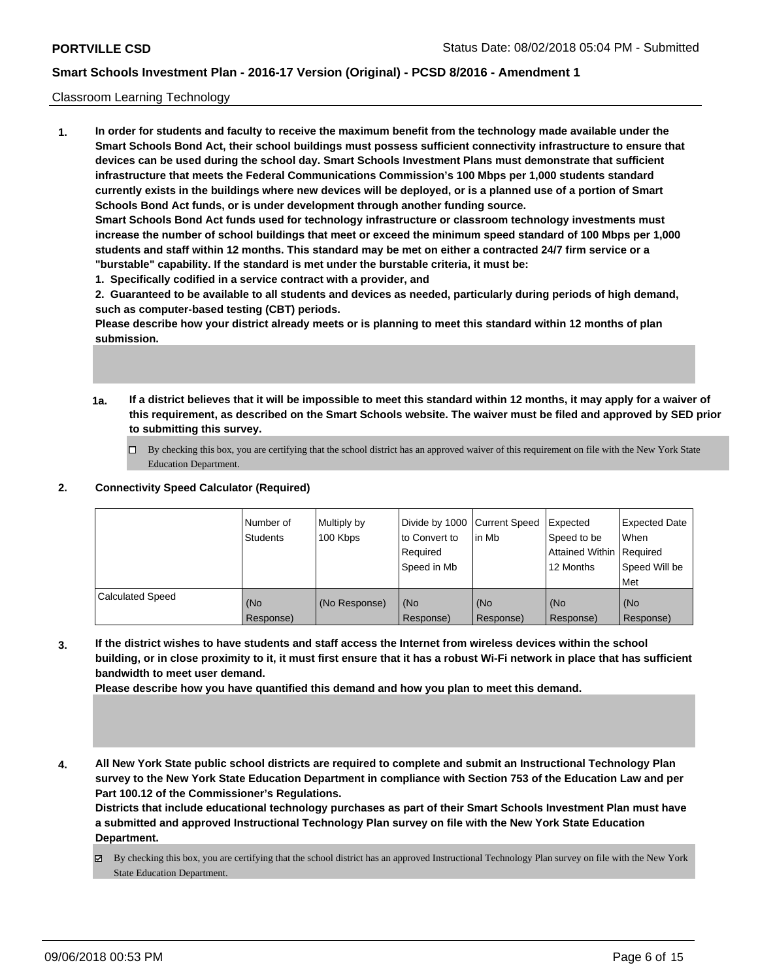#### Classroom Learning Technology

**1. In order for students and faculty to receive the maximum benefit from the technology made available under the Smart Schools Bond Act, their school buildings must possess sufficient connectivity infrastructure to ensure that devices can be used during the school day. Smart Schools Investment Plans must demonstrate that sufficient infrastructure that meets the Federal Communications Commission's 100 Mbps per 1,000 students standard currently exists in the buildings where new devices will be deployed, or is a planned use of a portion of Smart Schools Bond Act funds, or is under development through another funding source. Smart Schools Bond Act funds used for technology infrastructure or classroom technology investments must**

**increase the number of school buildings that meet or exceed the minimum speed standard of 100 Mbps per 1,000 students and staff within 12 months. This standard may be met on either a contracted 24/7 firm service or a "burstable" capability. If the standard is met under the burstable criteria, it must be:**

**1. Specifically codified in a service contract with a provider, and**

**2. Guaranteed to be available to all students and devices as needed, particularly during periods of high demand, such as computer-based testing (CBT) periods.**

**Please describe how your district already meets or is planning to meet this standard within 12 months of plan submission.**

- **1a. If a district believes that it will be impossible to meet this standard within 12 months, it may apply for a waiver of this requirement, as described on the Smart Schools website. The waiver must be filed and approved by SED prior to submitting this survey.**
	- By checking this box, you are certifying that the school district has an approved waiver of this requirement on file with the New York State Education Department.

### **2. Connectivity Speed Calculator (Required)**

|                         | Number of<br>Students | Multiply by<br>100 Kbps | Divide by 1000 Current Speed<br>to Convert to<br>Reauired<br>Speed in Mb | lin Mb           | <b>Expected</b><br>Speed to be<br><b>Attained Within Required</b><br>12 Months | <b>Expected Date</b><br>When<br>Speed Will be<br>Met |
|-------------------------|-----------------------|-------------------------|--------------------------------------------------------------------------|------------------|--------------------------------------------------------------------------------|------------------------------------------------------|
| <b>Calculated Speed</b> | (No<br>Response)      | (No Response)           | (No<br>Response)                                                         | (No<br>Response) | l (No<br>Response)                                                             | (No<br>Response)                                     |

**3. If the district wishes to have students and staff access the Internet from wireless devices within the school building, or in close proximity to it, it must first ensure that it has a robust Wi-Fi network in place that has sufficient bandwidth to meet user demand.**

**Please describe how you have quantified this demand and how you plan to meet this demand.**

**4. All New York State public school districts are required to complete and submit an Instructional Technology Plan survey to the New York State Education Department in compliance with Section 753 of the Education Law and per Part 100.12 of the Commissioner's Regulations.**

**Districts that include educational technology purchases as part of their Smart Schools Investment Plan must have a submitted and approved Instructional Technology Plan survey on file with the New York State Education Department.**

By checking this box, you are certifying that the school district has an approved Instructional Technology Plan survey on file with the New York State Education Department.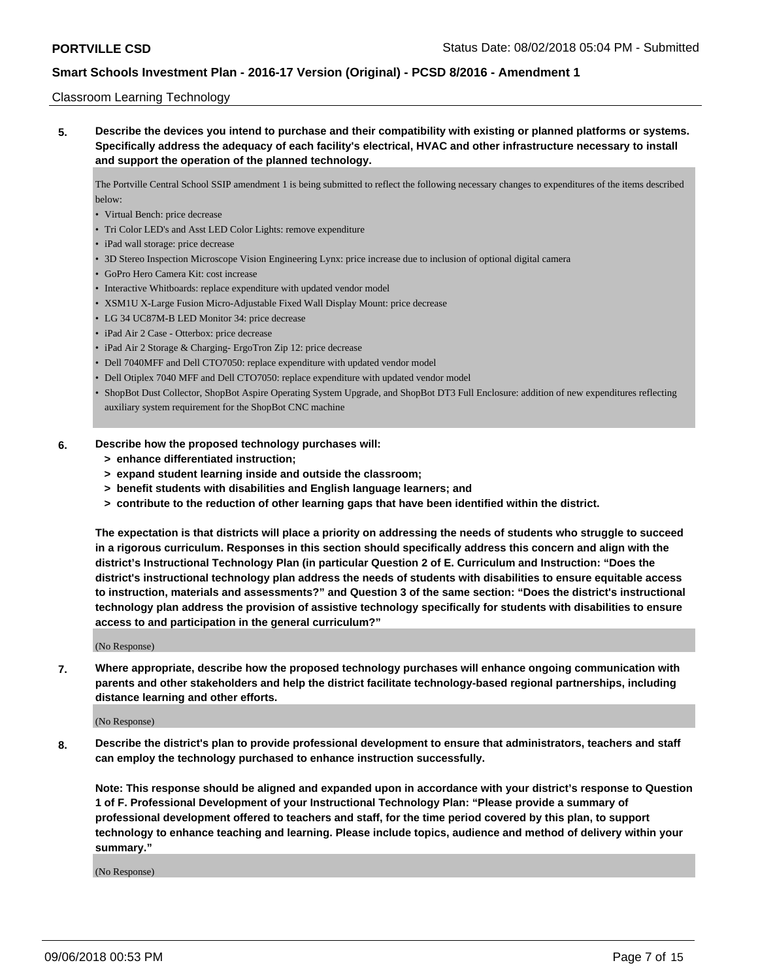#### Classroom Learning Technology

**5. Describe the devices you intend to purchase and their compatibility with existing or planned platforms or systems. Specifically address the adequacy of each facility's electrical, HVAC and other infrastructure necessary to install and support the operation of the planned technology.**

The Portville Central School SSIP amendment 1 is being submitted to reflect the following necessary changes to expenditures of the items described below:

- Virtual Bench: price decrease
- Tri Color LED's and Asst LED Color Lights: remove expenditure
- iPad wall storage: price decrease
- 3D Stereo Inspection Microscope Vision Engineering Lynx: price increase due to inclusion of optional digital camera
- GoPro Hero Camera Kit: cost increase
- Interactive Whitboards: replace expenditure with updated vendor model
- XSM1U X-Large Fusion Micro-Adjustable Fixed Wall Display Mount: price decrease
- LG 34 UC87M-B LED Monitor 34: price decrease
- iPad Air 2 Case Otterbox: price decrease
- iPad Air 2 Storage & Charging- ErgoTron Zip 12: price decrease
- Dell 7040MFF and Dell CTO7050: replace expenditure with updated vendor model
- Dell Otiplex 7040 MFF and Dell CTO7050: replace expenditure with updated vendor model
- ShopBot Dust Collector, ShopBot Aspire Operating System Upgrade, and ShopBot DT3 Full Enclosure: addition of new expenditures reflecting auxiliary system requirement for the ShopBot CNC machine

### **6. Describe how the proposed technology purchases will:**

- **> enhance differentiated instruction;**
- **> expand student learning inside and outside the classroom;**
- **> benefit students with disabilities and English language learners; and**
- **> contribute to the reduction of other learning gaps that have been identified within the district.**

**The expectation is that districts will place a priority on addressing the needs of students who struggle to succeed in a rigorous curriculum. Responses in this section should specifically address this concern and align with the district's Instructional Technology Plan (in particular Question 2 of E. Curriculum and Instruction: "Does the district's instructional technology plan address the needs of students with disabilities to ensure equitable access to instruction, materials and assessments?" and Question 3 of the same section: "Does the district's instructional technology plan address the provision of assistive technology specifically for students with disabilities to ensure access to and participation in the general curriculum?"**

(No Response)

**7. Where appropriate, describe how the proposed technology purchases will enhance ongoing communication with parents and other stakeholders and help the district facilitate technology-based regional partnerships, including distance learning and other efforts.**

#### (No Response)

**8. Describe the district's plan to provide professional development to ensure that administrators, teachers and staff can employ the technology purchased to enhance instruction successfully.**

**Note: This response should be aligned and expanded upon in accordance with your district's response to Question 1 of F. Professional Development of your Instructional Technology Plan: "Please provide a summary of professional development offered to teachers and staff, for the time period covered by this plan, to support technology to enhance teaching and learning. Please include topics, audience and method of delivery within your summary."**

(No Response)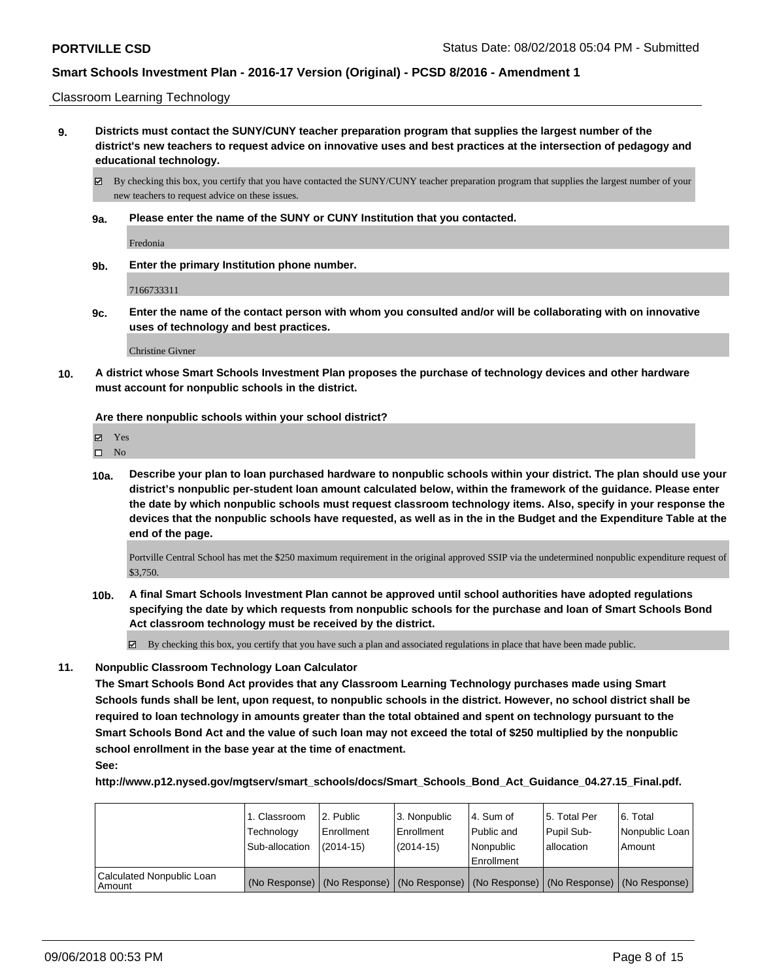Classroom Learning Technology

**9. Districts must contact the SUNY/CUNY teacher preparation program that supplies the largest number of the district's new teachers to request advice on innovative uses and best practices at the intersection of pedagogy and educational technology.**

By checking this box, you certify that you have contacted the SUNY/CUNY teacher preparation program that supplies the largest number of your new teachers to request advice on these issues.

**9a. Please enter the name of the SUNY or CUNY Institution that you contacted.**

Fredonia

**9b. Enter the primary Institution phone number.**

7166733311

**9c. Enter the name of the contact person with whom you consulted and/or will be collaborating with on innovative uses of technology and best practices.**

Christine Givner

**10. A district whose Smart Schools Investment Plan proposes the purchase of technology devices and other hardware must account for nonpublic schools in the district.**

**Are there nonpublic schools within your school district?**

| ٠<br>٠ |  |
|--------|--|
|--------|--|

 $\hfill \square$  No

**10a. Describe your plan to loan purchased hardware to nonpublic schools within your district. The plan should use your district's nonpublic per-student loan amount calculated below, within the framework of the guidance. Please enter the date by which nonpublic schools must request classroom technology items. Also, specify in your response the devices that the nonpublic schools have requested, as well as in the in the Budget and the Expenditure Table at the end of the page.**

Portville Central School has met the \$250 maximum requirement in the original approved SSIP via the undetermined nonpublic expenditure request of \$3,750.

**10b. A final Smart Schools Investment Plan cannot be approved until school authorities have adopted regulations specifying the date by which requests from nonpublic schools for the purchase and loan of Smart Schools Bond Act classroom technology must be received by the district.**

 $\boxtimes$  By checking this box, you certify that you have such a plan and associated regulations in place that have been made public.

**11. Nonpublic Classroom Technology Loan Calculator**

**The Smart Schools Bond Act provides that any Classroom Learning Technology purchases made using Smart Schools funds shall be lent, upon request, to nonpublic schools in the district. However, no school district shall be required to loan technology in amounts greater than the total obtained and spent on technology pursuant to the Smart Schools Bond Act and the value of such loan may not exceed the total of \$250 multiplied by the nonpublic school enrollment in the base year at the time of enactment.**

**See:**

**http://www.p12.nysed.gov/mgtserv/smart\_schools/docs/Smart\_Schools\_Bond\_Act\_Guidance\_04.27.15\_Final.pdf.**

|                                     | 1. Classroom<br>Technology<br>Sub-allocation | 2. Public<br>Enrollment<br>$(2014-15)$ | 3. Nonpublic<br>Enrollment<br>(2014-15) | l 4. Sum of<br>Public and<br>Nonpublic<br>Enrollment | 15. Total Per<br>Pupil Sub-<br>l allocation | l 6. Total<br>l Nonpublic Loan I<br>l Amount                                                  |
|-------------------------------------|----------------------------------------------|----------------------------------------|-----------------------------------------|------------------------------------------------------|---------------------------------------------|-----------------------------------------------------------------------------------------------|
| Calculated Nonpublic Loan<br>Amount |                                              |                                        |                                         |                                                      |                                             | (No Response)   (No Response)   (No Response)   (No Response)   (No Response)   (No Response) |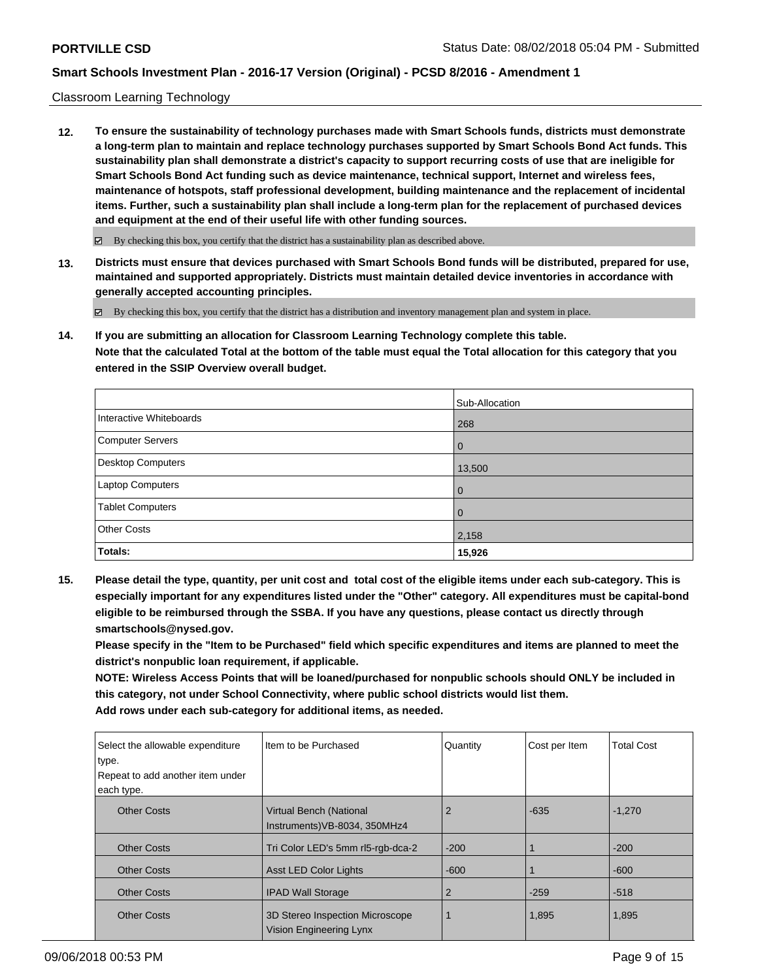### Classroom Learning Technology

**12. To ensure the sustainability of technology purchases made with Smart Schools funds, districts must demonstrate a long-term plan to maintain and replace technology purchases supported by Smart Schools Bond Act funds. This sustainability plan shall demonstrate a district's capacity to support recurring costs of use that are ineligible for Smart Schools Bond Act funding such as device maintenance, technical support, Internet and wireless fees, maintenance of hotspots, staff professional development, building maintenance and the replacement of incidental items. Further, such a sustainability plan shall include a long-term plan for the replacement of purchased devices and equipment at the end of their useful life with other funding sources.**

 $\boxtimes$  By checking this box, you certify that the district has a sustainability plan as described above.

**13. Districts must ensure that devices purchased with Smart Schools Bond funds will be distributed, prepared for use, maintained and supported appropriately. Districts must maintain detailed device inventories in accordance with generally accepted accounting principles.**

By checking this box, you certify that the district has a distribution and inventory management plan and system in place.

**14. If you are submitting an allocation for Classroom Learning Technology complete this table. Note that the calculated Total at the bottom of the table must equal the Total allocation for this category that you entered in the SSIP Overview overall budget.**

|                         | Sub-Allocation |
|-------------------------|----------------|
| Interactive Whiteboards | 268            |
| Computer Servers        | $\overline{0}$ |
| Desktop Computers       | 13,500         |
| Laptop Computers        | $\overline{0}$ |
| <b>Tablet Computers</b> | $\overline{0}$ |
| <b>Other Costs</b>      | 2,158          |
| <b>Totals:</b>          | 15,926         |

**15. Please detail the type, quantity, per unit cost and total cost of the eligible items under each sub-category. This is especially important for any expenditures listed under the "Other" category. All expenditures must be capital-bond eligible to be reimbursed through the SSBA. If you have any questions, please contact us directly through smartschools@nysed.gov.**

**Please specify in the "Item to be Purchased" field which specific expenditures and items are planned to meet the district's nonpublic loan requirement, if applicable.**

**NOTE: Wireless Access Points that will be loaned/purchased for nonpublic schools should ONLY be included in this category, not under School Connectivity, where public school districts would list them. Add rows under each sub-category for additional items, as needed.**

| Select the allowable expenditure<br>type. | Iltem to be Purchased                                      | Quantity | Cost per Item | <b>Total Cost</b> |
|-------------------------------------------|------------------------------------------------------------|----------|---------------|-------------------|
| Repeat to add another item under          |                                                            |          |               |                   |
| each type.                                |                                                            |          |               |                   |
| <b>Other Costs</b>                        | Virtual Bench (National<br>Instruments) VB-8034, 350MHz4   | 2        | $-635$        | $-1,270$          |
| <b>Other Costs</b>                        | Tri Color LED's 5mm rl5-rgb-dca-2                          | $-200$   |               | $-200$            |
| <b>Other Costs</b>                        | <b>Asst LED Color Lights</b>                               | $-600$   |               | $-600$            |
| <b>Other Costs</b>                        | <b>IPAD Wall Storage</b>                                   | 2        | $-259$        | $-518$            |
| <b>Other Costs</b>                        | 3D Stereo Inspection Microscope<br>Vision Engineering Lynx |          | 1,895         | 1,895             |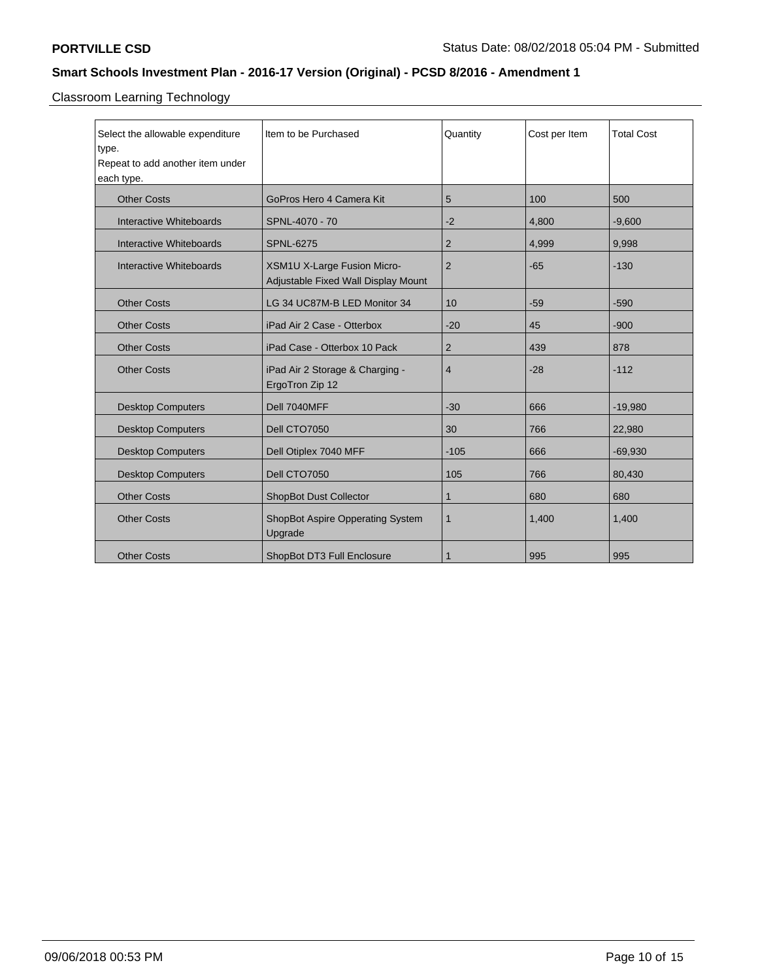Classroom Learning Technology

| Select the allowable expenditure<br>type.<br>Repeat to add another item under<br>each type. | Item to be Purchased                                                      | Quantity       | Cost per Item | <b>Total Cost</b> |
|---------------------------------------------------------------------------------------------|---------------------------------------------------------------------------|----------------|---------------|-------------------|
| <b>Other Costs</b>                                                                          | GoPros Hero 4 Camera Kit                                                  | 5              | 100           | 500               |
| Interactive Whiteboards                                                                     | SPNL-4070 - 70                                                            | $-2$           | 4,800         | $-9,600$          |
| Interactive Whiteboards                                                                     | <b>SPNL-6275</b>                                                          | $\overline{2}$ | 4,999         | 9,998             |
| Interactive Whiteboards                                                                     | <b>XSM1U X-Large Fusion Micro-</b><br>Adjustable Fixed Wall Display Mount | $\overline{2}$ | $-65$         | $-130$            |
| <b>Other Costs</b>                                                                          | LG 34 UC87M-B LED Monitor 34                                              | 10             | $-59$         | $-590$            |
| <b>Other Costs</b>                                                                          | iPad Air 2 Case - Otterbox                                                | $-20$          | 45            | $-900$            |
| <b>Other Costs</b>                                                                          | iPad Case - Otterbox 10 Pack                                              | $\overline{2}$ | 439           | 878               |
| <b>Other Costs</b>                                                                          | iPad Air 2 Storage & Charging -<br>ErgoTron Zip 12                        | 4              | $-28$         | $-112$            |
| <b>Desktop Computers</b>                                                                    | Dell 7040MFF                                                              | $-30$          | 666           | $-19,980$         |
| <b>Desktop Computers</b>                                                                    | Dell CTO7050                                                              | 30             | 766           | 22,980            |
| <b>Desktop Computers</b>                                                                    | Dell Otiplex 7040 MFF                                                     | $-105$         | 666           | $-69,930$         |
| <b>Desktop Computers</b>                                                                    | Dell CTO7050                                                              | 105            | 766           | 80,430            |
| <b>Other Costs</b>                                                                          | <b>ShopBot Dust Collector</b>                                             | 1              | 680           | 680               |
| <b>Other Costs</b>                                                                          | ShopBot Aspire Opperating System<br>Upgrade                               | 1              | 1,400         | 1,400             |
| <b>Other Costs</b>                                                                          | ShopBot DT3 Full Enclosure                                                | 1              | 995           | 995               |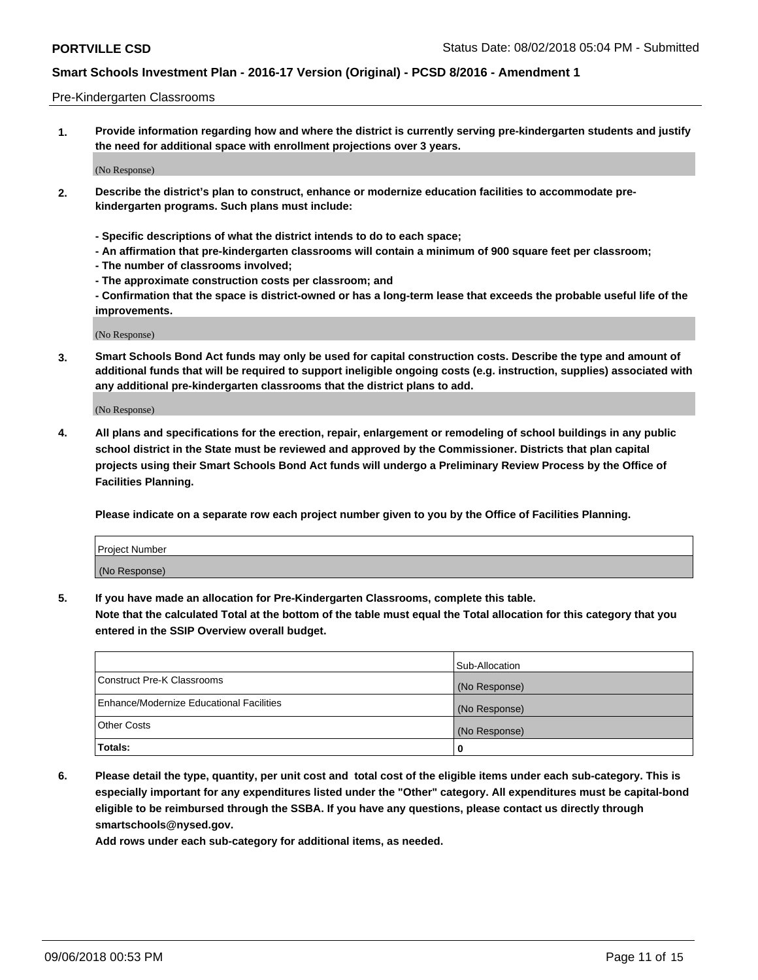#### Pre-Kindergarten Classrooms

**1. Provide information regarding how and where the district is currently serving pre-kindergarten students and justify the need for additional space with enrollment projections over 3 years.**

(No Response)

- **2. Describe the district's plan to construct, enhance or modernize education facilities to accommodate prekindergarten programs. Such plans must include:**
	- **Specific descriptions of what the district intends to do to each space;**
	- **An affirmation that pre-kindergarten classrooms will contain a minimum of 900 square feet per classroom;**
	- **The number of classrooms involved;**
	- **The approximate construction costs per classroom; and**
	- **Confirmation that the space is district-owned or has a long-term lease that exceeds the probable useful life of the improvements.**

(No Response)

**3. Smart Schools Bond Act funds may only be used for capital construction costs. Describe the type and amount of additional funds that will be required to support ineligible ongoing costs (e.g. instruction, supplies) associated with any additional pre-kindergarten classrooms that the district plans to add.**

(No Response)

**4. All plans and specifications for the erection, repair, enlargement or remodeling of school buildings in any public school district in the State must be reviewed and approved by the Commissioner. Districts that plan capital projects using their Smart Schools Bond Act funds will undergo a Preliminary Review Process by the Office of Facilities Planning.**

**Please indicate on a separate row each project number given to you by the Office of Facilities Planning.**

| Project Number |  |
|----------------|--|
| (No Response)  |  |
|                |  |

**5. If you have made an allocation for Pre-Kindergarten Classrooms, complete this table.**

**Note that the calculated Total at the bottom of the table must equal the Total allocation for this category that you entered in the SSIP Overview overall budget.**

|                                          | Sub-Allocation |
|------------------------------------------|----------------|
| Construct Pre-K Classrooms               | (No Response)  |
| Enhance/Modernize Educational Facilities | (No Response)  |
| <b>Other Costs</b>                       | (No Response)  |
| Totals:                                  | 0              |

**6. Please detail the type, quantity, per unit cost and total cost of the eligible items under each sub-category. This is especially important for any expenditures listed under the "Other" category. All expenditures must be capital-bond eligible to be reimbursed through the SSBA. If you have any questions, please contact us directly through smartschools@nysed.gov.**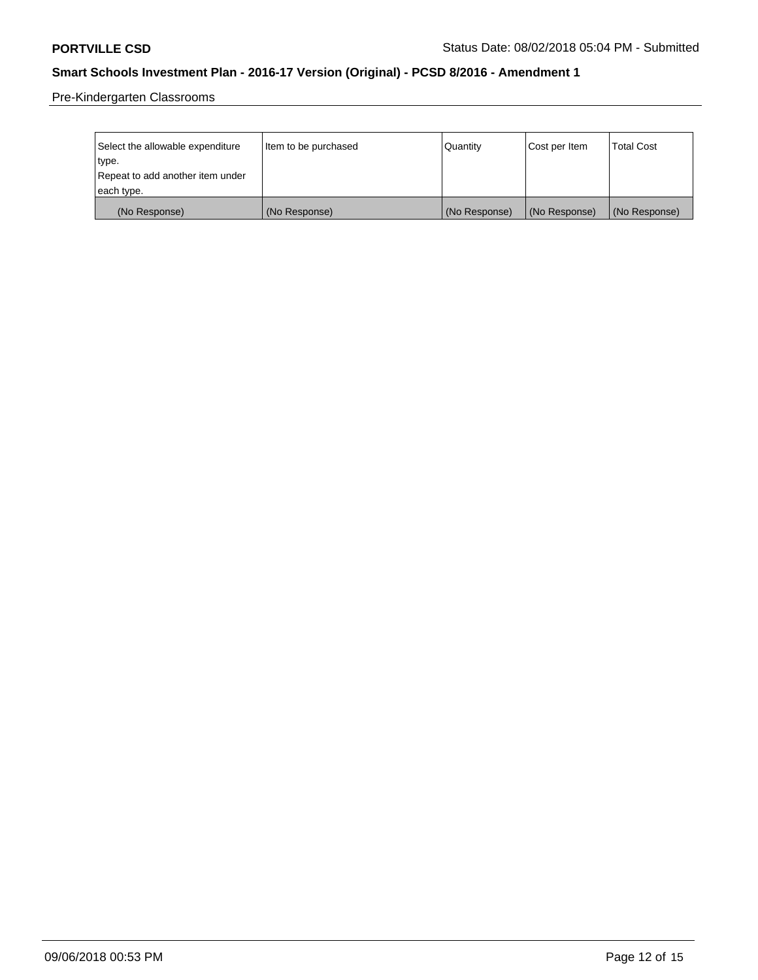Pre-Kindergarten Classrooms

| Select the allowable expenditure | Item to be purchased | Quantity      | Cost per Item | <b>Total Cost</b> |
|----------------------------------|----------------------|---------------|---------------|-------------------|
| type.                            |                      |               |               |                   |
| Repeat to add another item under |                      |               |               |                   |
| each type.                       |                      |               |               |                   |
| (No Response)                    | (No Response)        | (No Response) | (No Response) | (No Response)     |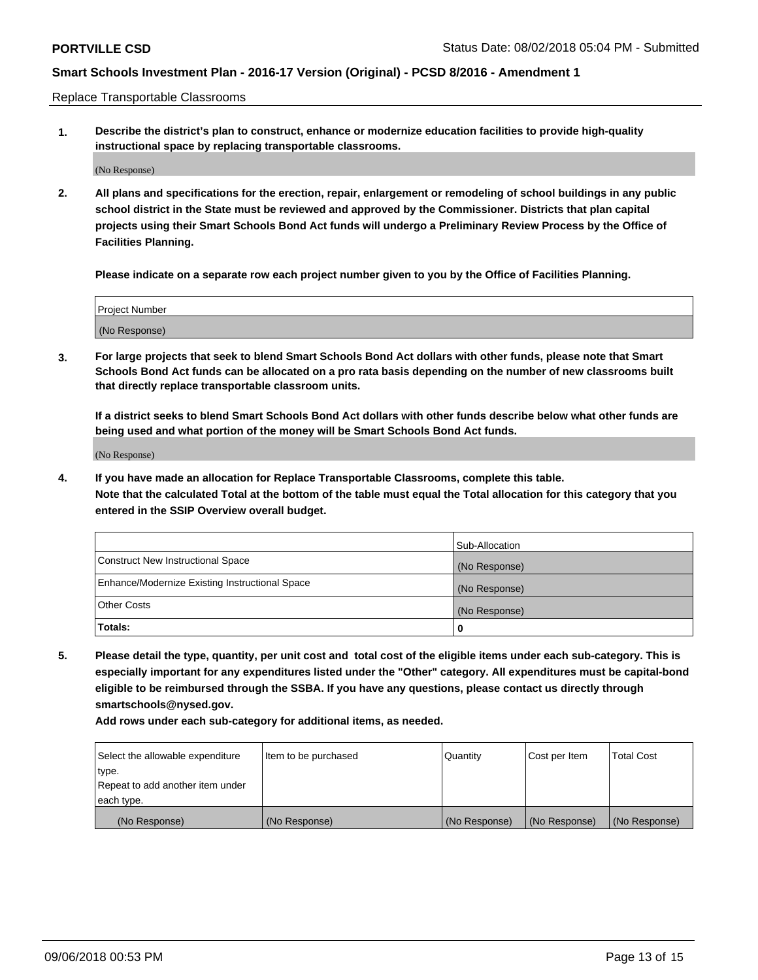Replace Transportable Classrooms

**1. Describe the district's plan to construct, enhance or modernize education facilities to provide high-quality instructional space by replacing transportable classrooms.**

(No Response)

**2. All plans and specifications for the erection, repair, enlargement or remodeling of school buildings in any public school district in the State must be reviewed and approved by the Commissioner. Districts that plan capital projects using their Smart Schools Bond Act funds will undergo a Preliminary Review Process by the Office of Facilities Planning.**

**Please indicate on a separate row each project number given to you by the Office of Facilities Planning.**

| Project Number |  |
|----------------|--|
|                |  |
| (No Response)  |  |

**3. For large projects that seek to blend Smart Schools Bond Act dollars with other funds, please note that Smart Schools Bond Act funds can be allocated on a pro rata basis depending on the number of new classrooms built that directly replace transportable classroom units.**

**If a district seeks to blend Smart Schools Bond Act dollars with other funds describe below what other funds are being used and what portion of the money will be Smart Schools Bond Act funds.**

(No Response)

**4. If you have made an allocation for Replace Transportable Classrooms, complete this table. Note that the calculated Total at the bottom of the table must equal the Total allocation for this category that you entered in the SSIP Overview overall budget.**

|                                                | Sub-Allocation |
|------------------------------------------------|----------------|
| Construct New Instructional Space              | (No Response)  |
| Enhance/Modernize Existing Instructional Space | (No Response)  |
| <b>Other Costs</b>                             | (No Response)  |
| Totals:                                        | 0              |

**5. Please detail the type, quantity, per unit cost and total cost of the eligible items under each sub-category. This is especially important for any expenditures listed under the "Other" category. All expenditures must be capital-bond eligible to be reimbursed through the SSBA. If you have any questions, please contact us directly through smartschools@nysed.gov.**

| Select the allowable expenditure | Item to be purchased | l Quantitv    | Cost per Item | <b>Total Cost</b> |
|----------------------------------|----------------------|---------------|---------------|-------------------|
| type.                            |                      |               |               |                   |
| Repeat to add another item under |                      |               |               |                   |
| each type.                       |                      |               |               |                   |
| (No Response)                    | (No Response)        | (No Response) | (No Response) | (No Response)     |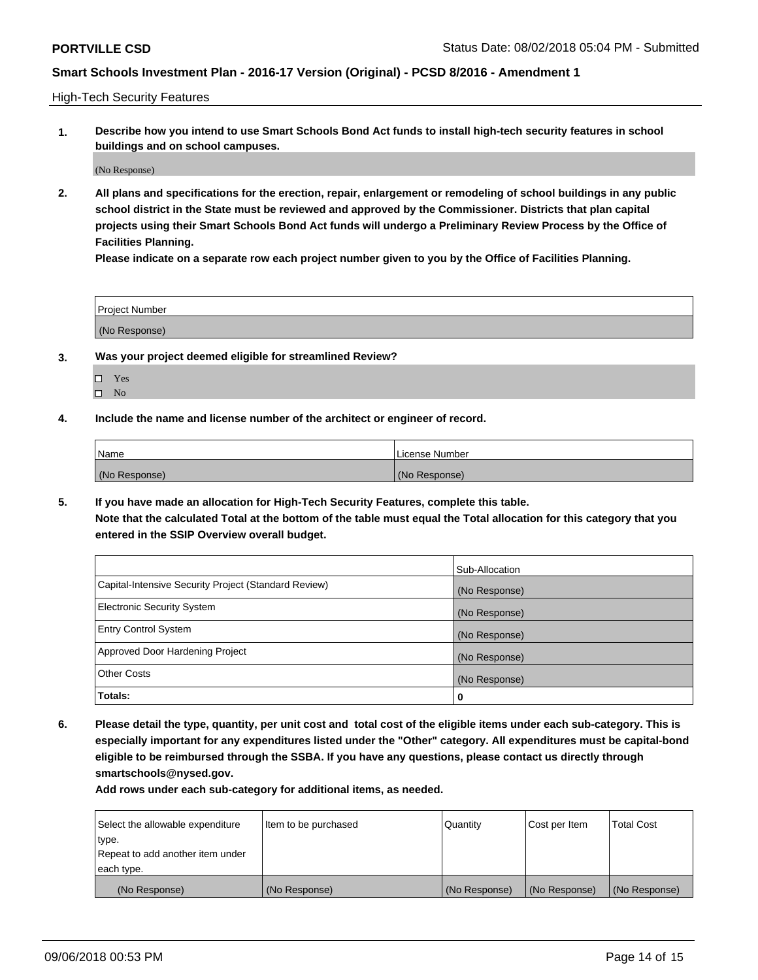High-Tech Security Features

**1. Describe how you intend to use Smart Schools Bond Act funds to install high-tech security features in school buildings and on school campuses.**

(No Response)

**2. All plans and specifications for the erection, repair, enlargement or remodeling of school buildings in any public school district in the State must be reviewed and approved by the Commissioner. Districts that plan capital projects using their Smart Schools Bond Act funds will undergo a Preliminary Review Process by the Office of Facilities Planning.** 

**Please indicate on a separate row each project number given to you by the Office of Facilities Planning.**

| <b>Project Number</b> |  |
|-----------------------|--|
| (No Response)         |  |

- **3. Was your project deemed eligible for streamlined Review?**
	- Yes
	- $\square$  No
- **4. Include the name and license number of the architect or engineer of record.**

| <b>Name</b>   | License Number |
|---------------|----------------|
| (No Response) | (No Response)  |

**5. If you have made an allocation for High-Tech Security Features, complete this table.**

**Note that the calculated Total at the bottom of the table must equal the Total allocation for this category that you entered in the SSIP Overview overall budget.**

|                                                      | Sub-Allocation |
|------------------------------------------------------|----------------|
| Capital-Intensive Security Project (Standard Review) | (No Response)  |
| <b>Electronic Security System</b>                    | (No Response)  |
| <b>Entry Control System</b>                          | (No Response)  |
| Approved Door Hardening Project                      | (No Response)  |
| <b>Other Costs</b>                                   | (No Response)  |
| Totals:                                              | 0              |

**6. Please detail the type, quantity, per unit cost and total cost of the eligible items under each sub-category. This is especially important for any expenditures listed under the "Other" category. All expenditures must be capital-bond eligible to be reimbursed through the SSBA. If you have any questions, please contact us directly through smartschools@nysed.gov.**

| Select the allowable expenditure | Item to be purchased | l Quantitv    | Cost per Item | <b>Total Cost</b> |
|----------------------------------|----------------------|---------------|---------------|-------------------|
| type.                            |                      |               |               |                   |
| Repeat to add another item under |                      |               |               |                   |
| each type.                       |                      |               |               |                   |
| (No Response)                    | (No Response)        | (No Response) | (No Response) | (No Response)     |